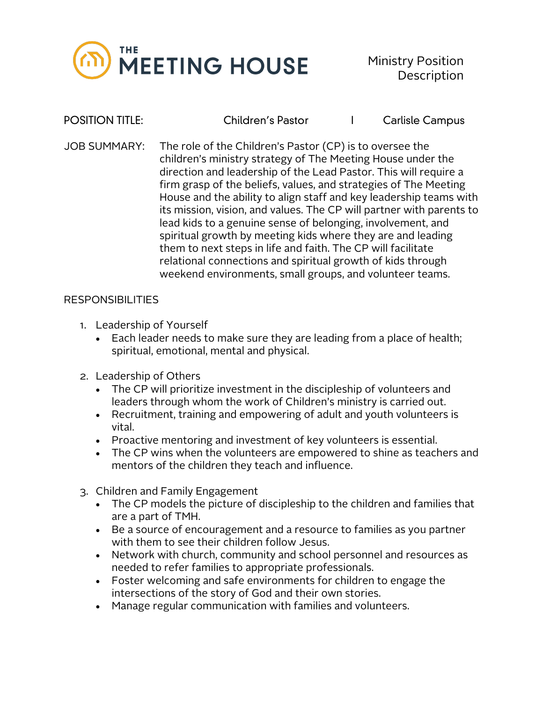

POSITION TITLE: Children's Pastor I Carlisle Campus

JOB SUMMARY: The role of the Children's Pastor (CP) is to oversee the children's ministry strategy of The Meeting House under the direction and leadership of the Lead Pastor. This will require a firm grasp of the beliefs, values, and strategies of The Meeting House and the ability to align staff and key leadership teams with its mission, vision, and values. The CP will partner with parents to lead kids to a genuine sense of belonging, involvement, and spiritual growth by meeting kids where they are and leading them to next steps in life and faith. The CP will facilitate relational connections and spiritual growth of kids through weekend environments, small groups, and volunteer teams.

## RESPONSIBILITIES

- 1. Leadership of Yourself
	- Each leader needs to make sure they are leading from a place of health; spiritual, emotional, mental and physical.
- 2. Leadership of Others
	- The CP will prioritize investment in the discipleship of volunteers and leaders through whom the work of Children's ministry is carried out.
	- Recruitment, training and empowering of adult and youth volunteers is vital.
	- Proactive mentoring and investment of key volunteers is essential.
	- The CP wins when the volunteers are empowered to shine as teachers and mentors of the children they teach and influence.
- 3. Children and Family Engagement
	- The CP models the picture of discipleship to the children and families that are a part of TMH.
	- Be a source of encouragement and a resource to families as you partner with them to see their children follow Jesus.
	- Network with church, community and school personnel and resources as needed to refer families to appropriate professionals.
	- Foster welcoming and safe environments for children to engage the intersections of the story of God and their own stories.
	- Manage regular communication with families and volunteers.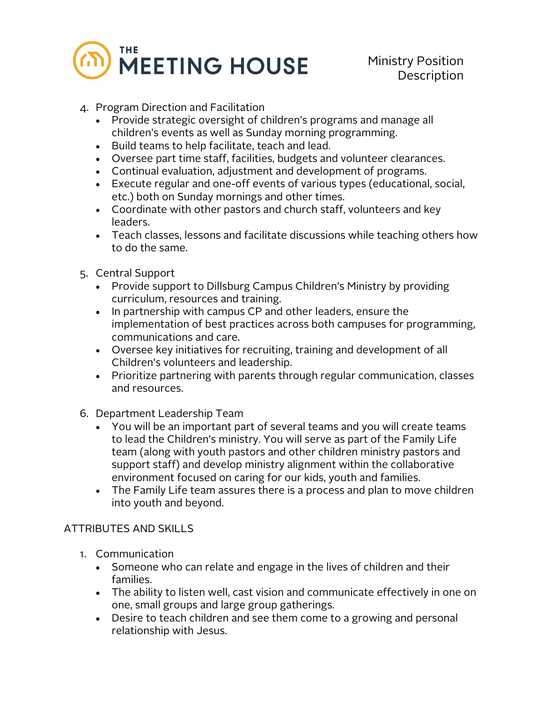

- 4. Program Direction and Facilitation
	- Provide strategic oversight of children's programs and manage all children's events as well as Sunday morning programming.
	- Build teams to help facilitate, teach and lead.
	- Oversee part time staff, facilities, budgets and volunteer clearances.
	- Continual evaluation, adjustment and development of programs.
	- Execute regular and one-off events of various types (educational, social, etc.) both on Sunday mornings and other times.
	- Coordinate with other pastors and church staff, volunteers and key leaders.
	- Teach classes, lessons and facilitate discussions while teaching others how to do the same.
- 5. Central Support
	- Provide support to Dillsburg Campus Children's Ministry by providing curriculum, resources and training.
	- In partnership with campus CP and other leaders, ensure the implementation of best practices across both campuses for programming, communications and care.
	- Oversee key initiatives for recruiting, training and development of all Children's volunteers and leadership.
	- Prioritize partnering with parents through regular communication, classes and resources.
- 6. Department Leadership Team
	- You will be an important part of several teams and you will create teams to lead the Children's ministry. You will serve as part of the Family Life team (along with youth pastors and other children ministry pastors and support staff) and develop ministry alignment within the collaborative environment focused on caring for our kids, youth and families.
	- The Family Life team assures there is a process and plan to move children into youth and beyond.

## ATTRIBUTES AND SKILLS

- 1. Communication
	- Someone who can relate and engage in the lives of children and their families.
	- The ability to listen well, cast vision and communicate effectively in one on one, small groups and large group gatherings.
	- Desire to teach children and see them come to a growing and personal relationship with Jesus.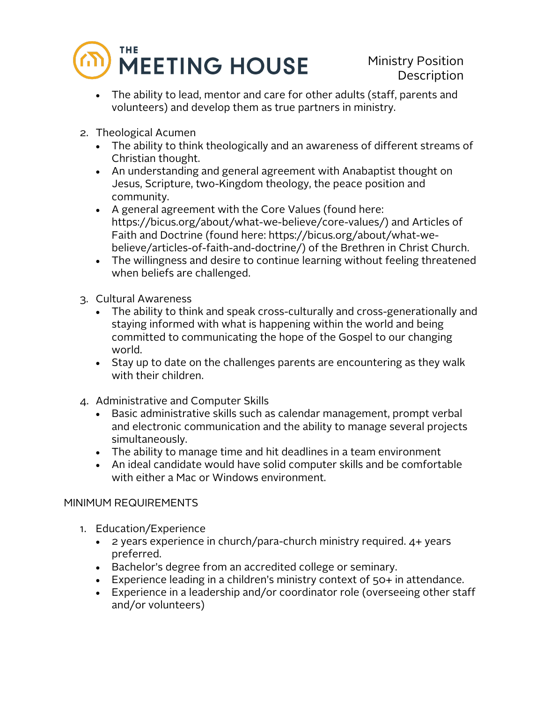

- The ability to lead, mentor and care for other adults (staff, parents and volunteers) and develop them as true partners in ministry.
- 2. Theological Acumen
	- The ability to think theologically and an awareness of different streams of Christian thought.
	- An understanding and general agreement with Anabaptist thought on Jesus, Scripture, two-Kingdom theology, the peace position and community.
	- A general agreement with the Core Values (found here: https://bicus.org/about/what-we-believe/core-values/) and Articles of Faith and Doctrine (found here: https://bicus.org/about/what-webelieve/articles-of-faith-and-doctrine/) of the Brethren in Christ Church.
	- The willingness and desire to continue learning without feeling threatened when beliefs are challenged.
- 3. Cultural Awareness
	- The ability to think and speak cross-culturally and cross-generationally and staying informed with what is happening within the world and being committed to communicating the hope of the Gospel to our changing world.
	- Stay up to date on the challenges parents are encountering as they walk with their children.
- 4. Administrative and Computer Skills
	- Basic administrative skills such as calendar management, prompt verbal and electronic communication and the ability to manage several projects simultaneously.
	- The ability to manage time and hit deadlines in a team environment
	- An ideal candidate would have solid computer skills and be comfortable with either a Mac or Windows environment.

## MINIMUM REQUIREMENTS

- 1. Education/Experience
	- 2 years experience in church/para-church ministry required. 4+ years preferred.
	- Bachelor's degree from an accredited college or seminary.
	- Experience leading in a children's ministry context of 50+ in attendance.
	- Experience in a leadership and/or coordinator role (overseeing other staff and/or volunteers)